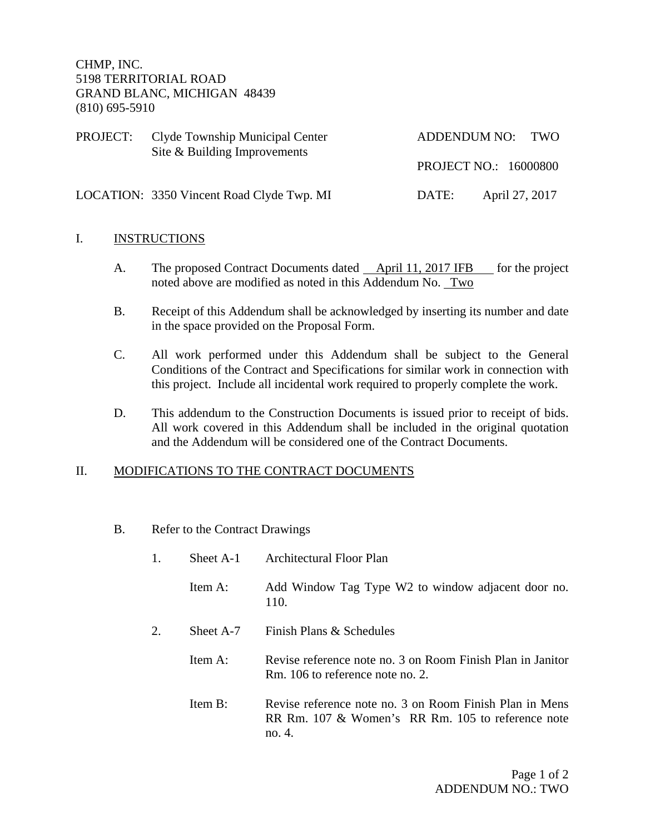CHMP, INC. 5198 TERRITORIAL ROAD GRAND BLANC, MICHIGAN 48439 (810) 695-5910

| PROJECT: | Clyde Township Municipal Center<br>Site & Building Improvements |                       | ADDENDUM NO: TWO |
|----------|-----------------------------------------------------------------|-----------------------|------------------|
|          |                                                                 | PROJECT NO.: 16000800 |                  |
|          | LOCATION: 3350 Vincent Road Clyde Twp. MI                       | DATE:                 | April 27, 2017   |

## I. INSTRUCTIONS

- A. The proposed Contract Documents dated April 11, 2017 IFB for the project noted above are modified as noted in this Addendum No. Two
- B. Receipt of this Addendum shall be acknowledged by inserting its number and date in the space provided on the Proposal Form.
- C. All work performed under this Addendum shall be subject to the General Conditions of the Contract and Specifications for similar work in connection with this project. Include all incidental work required to properly complete the work.
- D. This addendum to the Construction Documents is issued prior to receipt of bids. All work covered in this Addendum shall be included in the original quotation and the Addendum will be considered one of the Contract Documents.

## II. MODIFICATIONS TO THE CONTRACT DOCUMENTS

B. Refer to the Contract Drawings

|    | Sheet A-1  | <b>Architectural Floor Plan</b>                                                                                        |
|----|------------|------------------------------------------------------------------------------------------------------------------------|
|    | Item A:    | Add Window Tag Type W2 to window adjacent door no.<br>110.                                                             |
| 2. | Sheet A-7  | Finish Plans & Schedules                                                                                               |
|    | Item A:    | Revise reference note no. 3 on Room Finish Plan in Janitor<br>Rm. 106 to reference note no. 2.                         |
|    | Item $B$ : | Revise reference note no. 3 on Room Finish Plan in Mens<br>RR Rm. 107 & Women's RR Rm. 105 to reference note<br>no. 4. |